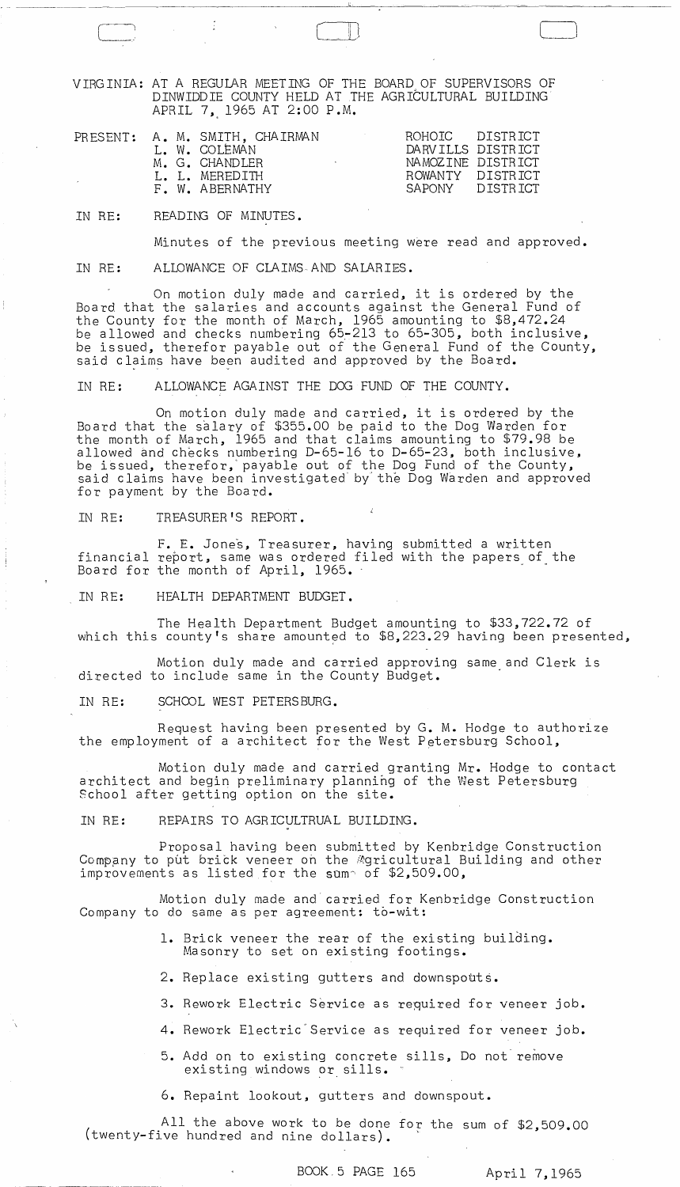VIRGINIA: AT A REGULAR MEETING OF THE BOARD OF SUPERVISORS OF DINWIDDIE COUNTY HELD AT THE AGRICULTURAL BUILDING APRIL 7, 1965 AT 2:00 P.M.

-- -~~~---- ~-----~-----------~----:-------~-,---o--~--~~-~----

 $\begin{array}{c} \hline \end{array}$ 

|  | PRESENT: A. M. SMITH, CHAIRMAN<br>L. W. COLEMAN<br>M. G. CHANDLER<br><b>Contract Contract Contract</b> | ROHOIC DISTRICT<br>DARVILLS DISTRICT<br>NAMOZINE DISTRICT |
|--|--------------------------------------------------------------------------------------------------------|-----------------------------------------------------------|
|  | I. I. MEREDITH<br>F. W. ABERNATHY                                                                      | ROWANTY DISTRICT<br>SAPONY DISTRICT                       |

IN RE: READING OF MINUTES.

Minutes of the previous meeting were read and approved.

IN RE: ALLOWANCE OF CLAIMS AND SALARIES.

On motion duly made and carried, it is ordered by the Board that the salaries and accounts against the General Fund of the County for the month of March, 1965 amounting to \$8,472.24 be allowed and checks numbering 65~213 to 65-305, both inclusive, be issued, therefor payable out of the General Fund of the County, said claims have been audited and approved by the Board.

IN RE: ALLOWANCE AGAINST THE DOG FUND OF THE COUNTY.

On motion duly made and carried, it is ordered by the Board that the salary of \$355.00 be paid to the Dog Warden for the month of March, 1965 and that claims amounting to \$79.98 be allowed and checks numbering D-65-16 to D-65-23, both inclusive, be issued, therefor,'payable out of the Dog Fund of the County, said claims have been investigated by the Dog Warden and approved for payment by the Board.

IN RE: TREASURER'S REPORT.

F. E. Jones, Treasurer, having submitted a written financial report, same was ordered filed with the papers of the Board for the month of April, 1965.

IN RE: HEALTH DEPARTMENT BUDGET.

The Health Department Budget amounting to \$33,722.72 of which this county's share amounted to \$8,223.29 having been presented,

Motion duly made and carried approving same and Clerk is directed to include same in the County Budget.

IN RE: SCHOOL WEST PETERSBURG.

Request having been presented by G. M. Hodge to authorize the employment of a architect for the West Petersburg School,

Motion duly made and carried granting Mr. Hodge to contact architect and begin preliminary plannihg of the West Petersburg School after getting option on the site.

IN RE: REPAIRS TO AGRICULTRUAL BUILDING.

Proposal having been submitted by Kenbridge Construction Company to put brick veneer on the Agricultural Building and other improvements as listed for the sum~ of \$2,509.00,

Motion duly made and carried for Kenbridge Construction Company to do same as per agreement: to-wit:

- 1. Brick veneer the rear of the existing building. Masonry to set on existing footings.
- 2. Replace existing gutters and downspouts.
- 3. Rework Electric Service as required for veneer job.
- 4. Rework Electric Service as required for veneer job.
	- 5. Add on to existing concrete sills, Do not remove existing windows or sills. "

6. Repaint lookout, gutters and downspout.

( twenty-five hundred and nine dollars). ' All the above work to be done for the sum of \$2,509.00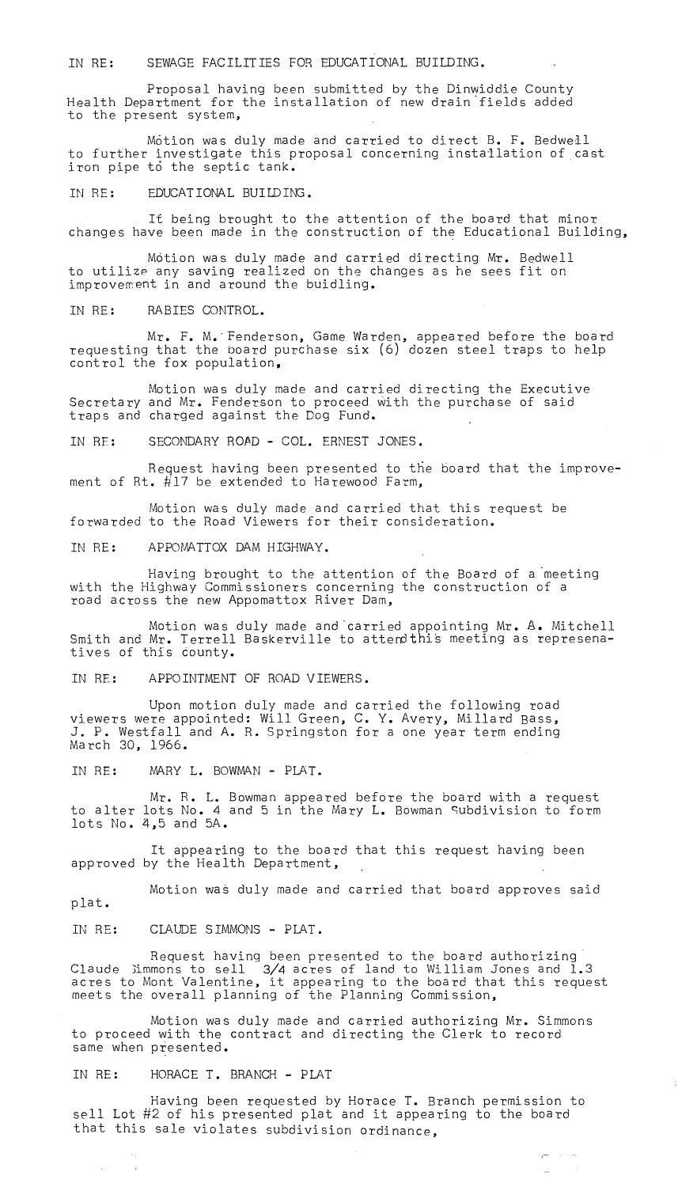IN RE: SEWAGE FACILITIES FOR EDUCATIONAL BUILDING.

Proposal having been submitted by the Dinwiddie County Health Department for the installation of new drain'fields added to the present system,

Motion was duly made and carried to direct B. F. Bedwell to further investigate this proposal concerning installation of cast iron pipe to the septic tank.

IN RE: EDUCATIONAL BUILDING.

It being brought to the attention of the board that minor changes have been made in the construction of the Educational Building,

Motion was duly made and carried directing Mr. Bedwell to utilize any saving realized on the changes as he sees fit on improvement in and around the buidling.

IN RE: RABIES CONTROL.

Mr. F. M.-Fenderson, Game Warden, appeared before the board requesting that the board purchase six (6) dozen steel traps to help control the fox population,

Motion was duly made and carried directing the Executive Secretary and Mr. Fenderson to proceed with the purchase of said traps and charged against the Dog Fund.

IN RE: SECONDARY ROAD - COL. ERNEST JONES.

Request having been presented to the board that the improvement of Rt. #17 be extended to Harewood Farm,

Motion was duly made and carried that this request be forwarded to the Road Viewers for their consideration.

IN RE: APPOMATTOX DAM HIGHWAY.

Having brought to the attention of the Board of a 'meeting with the Highway Commissioners concerning the construction of a road across the new Appomattox River Dam,

Motion was duly made and carried appointing Mr. A. Mitchell Smith and Mr. Terrell Baskerville to atterothis meeting as represenatives of this county.

IN Rf: APPOINTMENT OF ROAD VIEWERS.

Upon motion duly made and carried the following road viewers were appointed: Will Green, C. Y. Avery, Millard Bass, J. P. Westfall and A. R. Springston for a one year term ending March 30, 1966.

IN RE: MARY L. BOWMAN - PLAT.

Mr. R. L. Bowman appeared before the board with a request to alter lots No. 4 and 5 in the Mary L. Bowman Subdivision to form lots No. ~,S and SA.

It appearing to the board that this request having been approved by the Health Department,

Motion wa§ duly made and carried that board approves said plat.

IN RE: CLAUDE SIMMONS - PLAT.

Request having been presented to the board authorizing' Claude :Jimmons to sell 3/4 acres of land to William Jones and 1.3 acres to Mont Valentine, it appearing to the board that this request meets the overall planning of the Planning Commission,

Motion was duly made and carried authorizing Mr. Simmons to proceed with the contract and directing the Clerk to record same when presented.

IN RE: HORACE T. BRANCH - PLAT

 $\sim$   $\alpha$ 

 $\Delta_{\rm{eff}}$ 

Having been requested by Horace T. Branch permission to sell Lot #2 of his presented plat and it appearing to the board that this sale violates subdivision ordinance,

 $\overline{\mathcal{C}}^{(n)}$  , where  $\overline{\mathcal{C}}_{n}$ 

rizon.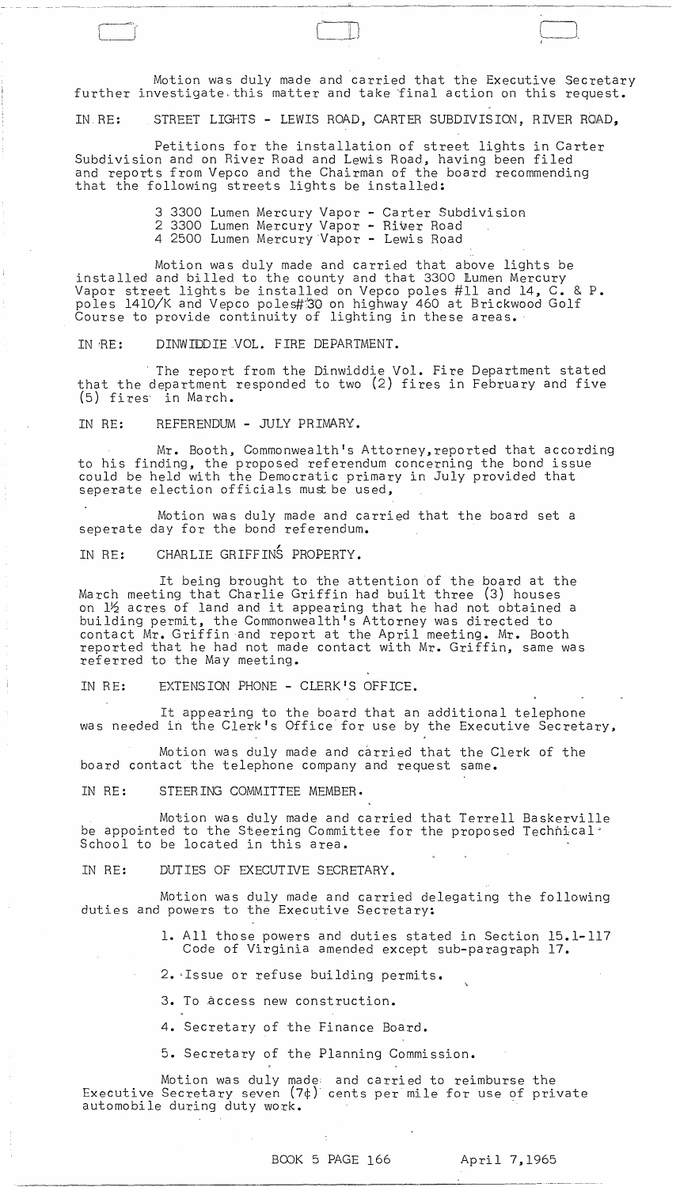Motion was duly made and carried that the Executive Secretary further investigate. this matter and take final action on this request.

 $\begin{picture}(180,10) \put(0,0){\line(1,0){10}} \put(10,0){\line(1,0){10}} \put(10,0){\line(1,0){10}} \put(10,0){\line(1,0){10}} \put(10,0){\line(1,0){10}} \put(10,0){\line(1,0){10}} \put(10,0){\line(1,0){10}} \put(10,0){\line(1,0){10}} \put(10,0){\line(1,0){10}} \put(10,0){\line(1,0){10}} \put(10,0){\line(1,0){10}} \put(10,0){\line($ 

IN" RE: STREET LIGHTS - LEWIS ROAD, CARTER SUBDIVISION, RIVER ROAD,

Petitions for the installation of street lights in Carter Subdivision and on River Road and Lewis Road, having been filed and reports from Vepco and the Chairman of the board recommending that the following streets lights be installed:

> 3 3300 Lumen Mercury Vapor - Carter Subdivision 2 3300 Lumen Mercury Vapor - Riber Road 4 2500 Lumen Mercury Vapor - Lewis Road

Motion was duly made and carried that above lights be installed and billed to the county and that 3300 lumen Mercury Vapor street lights be installed on Vepco poles #11 and 14, C. & P. poles 1410/K and Vepco poles#"'30 on highway 460 at Brickwood Golf Course to provide continuity of lighting in these areas •.

IN RE: DINWIDDIE VOL. FIRE DEPARTMENT.

The report from the Dinwiddie Vol. Fire Department stated that the department responded to two (2) fires in February and five (5) fires· in March.

IN RE: REFERENDUM - JULY PRIMARY.

Mr. Booth, Commonwealth's Attorney,reported that according to his finding, the proposed referendum concerning the bond issue could be held with the Democratic primary in July provided that seperate election officials must be used,

Motion was duly made and carried that the board set a seperate day for the bond referendum.

, IN RE: CHARLIE GRIFFINS PROPERTY.

It being brought to the attention of the board at the March meeting that Charlie Griffin had built three (3) houses on 12 acres of land and it appearing that he had not obtained a building permit, the Commonwealth's Attorney was directed to contact Mr. Griffin and report at the April meeting. Mr. Booth reported that he had not made contact with Mr. Griffin, same was referred to the May meeting.

IN RE: EXTENSION PHONE - CLERK'S OFFICE.

It appearing to the board that an additional telephone was needed in the Clerk's Office" for use by the Executive Secretary,

Motion was duly made and carried that the Clerk of the board contact the telephone company and request same.

IN RE: STEERING COMMITTEE MEMBER.

Motion was duly made and carried that Terrell Baskerville be appointed to the Steering Committee for the proposed Technical' School to be located in this area.

IN RE: DUTIES OF EXECUTIVE SECRETARY.

Motion was duly made and carried delegating the following duties and powers to the Executive Secretary:

> 1. All those powers and duties stated in Section 15.1-117 Code of Virginia amended except sub-paragraph 17.

2. Issue or refuse building permits.

3. To access new construction.

4. Secretary of the Finance Board.

5. Secretary of the Planning Commission.

Motion was duly made: and carried to reimburse the Executive Secretary seven (7¢)" cents per mile for use of private automobile during duty work.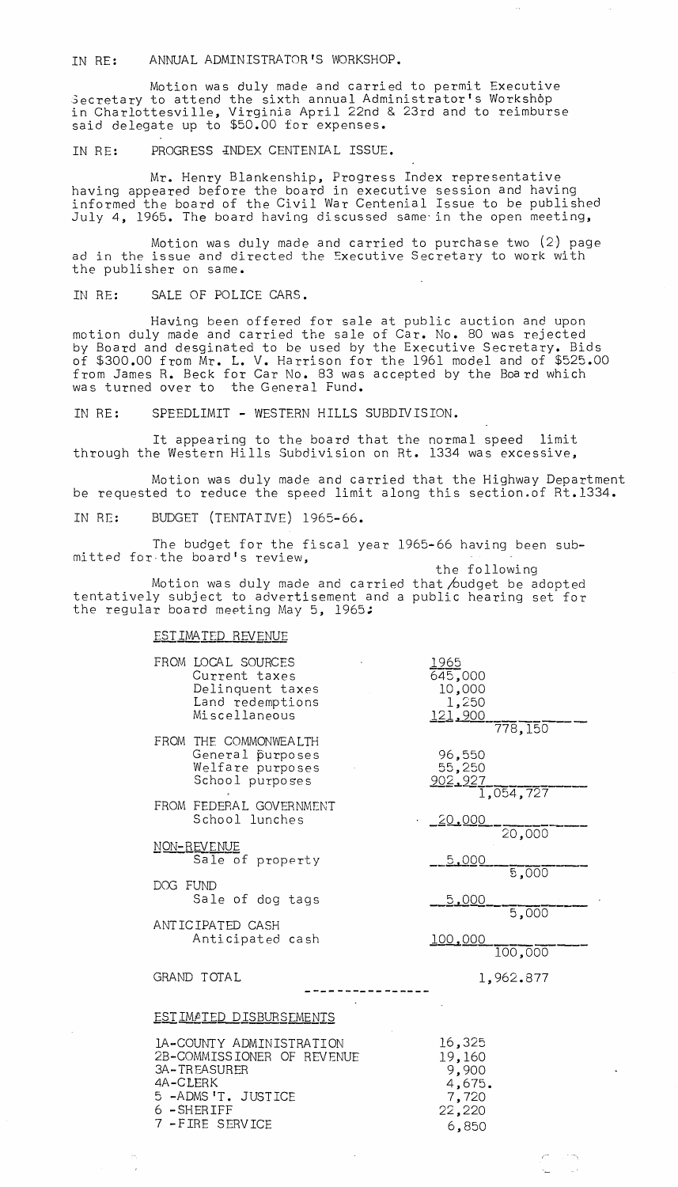IN RE: ANNUAL ADMINISTRATOR'S WORKSHOP.

Motion was duly made and carried to permit Executive Secretary to attend the sixth annual Administrator's Workshop in Charlottesville, Virginia April 22nd & 23rd and to reimburse said delegate up to \$50.00 for expenses.

## IN RE: PROGRESS INDEX CENTENIAL ISSUE.

Mr. Henry Blankenship, Progress Index representative having appeared before the board in executive session and having informed the board of the Civil War Centenial Issue to be published July 4, 1965. The board having discussed same'in the open meeting,

Motion was duly made and carried to purchase two (2) page ad in the issue and directed the Executive Secretary to work with the publisher on same.

IN RE: SALE OF POLICE CARS.

Having been offered for sale at public auction and upon motion duly made and carried the sale of Car. No. 80 was rejected by Board and desginated to be used by the Executive Secretary. Bids of \$300.00 from Mr. L. V. Harrison for the 1961 model and of \$525.00 from James R. Beck for Car No. 83 was accepted by the Board which was turned over to the General Fund.

IN RE: SPEEDLIMIT - WESTERN HILLS SUBDIVISION.

It appearing to the board that the normal speed limit through the Western Hills Subdivision on Rt. 1334 was excessive,

Motion was duly made and carried that the Highway Department be requested to reduce the speed limit along this section.of Rt.1334.

IN RE: BUDGET (TENTATIVE) 1965-66.

The budget for the fiscal year 1965-66 having been submitted for-the board's review,

the following Motion was duly made and carried that  $\land$ udget be adopted tentatively subject to advertisement and a public hearing set for the regular board meeting May 5, 1965;

## EST IMATED REVENUE

7 -FIRE SERVICE

| FROM LOCAL SOURCES<br>Current taxes<br>Delinquent taxes<br>Land redemptions<br>Miscellaneous                                   | 1965<br>645,000<br>10,000<br>1,250<br>121,900          |
|--------------------------------------------------------------------------------------------------------------------------------|--------------------------------------------------------|
| FROM THE COMMONWEALTH<br>General purposes<br>Welfare purposes<br>School purposes                                               | 778,150<br>96,550<br>55,250<br>902,927<br>1,054,727    |
| FROM FEDERAL GOVERNMENT<br>School lunches                                                                                      | 20,000                                                 |
| NON-REVENUE<br>Sale of property                                                                                                | 20,000<br>5,000                                        |
| DOG FUND<br>Sale of dog tags                                                                                                   | 5,000<br>5,000                                         |
| ANTICIPATED CASH<br>Anticipated cash                                                                                           | $\overline{5,000}$<br>100,000<br>100,000               |
| GRAND TOTAL                                                                                                                    | 1,962.877                                              |
| ESTIMATED DISBURSEMENTS                                                                                                        |                                                        |
| IA-COUNTY ADMINISTRATION<br>2B-COMMISSIONER OF REVENUE<br><b>3A-TREASURER</b><br>4A-CLERK<br>5 -ADMS'T. JUSTICE<br>6 - SHERIFF | 16,325<br>19,160<br>9,900<br>4,675.<br>7,720<br>22,220 |

'-

6,850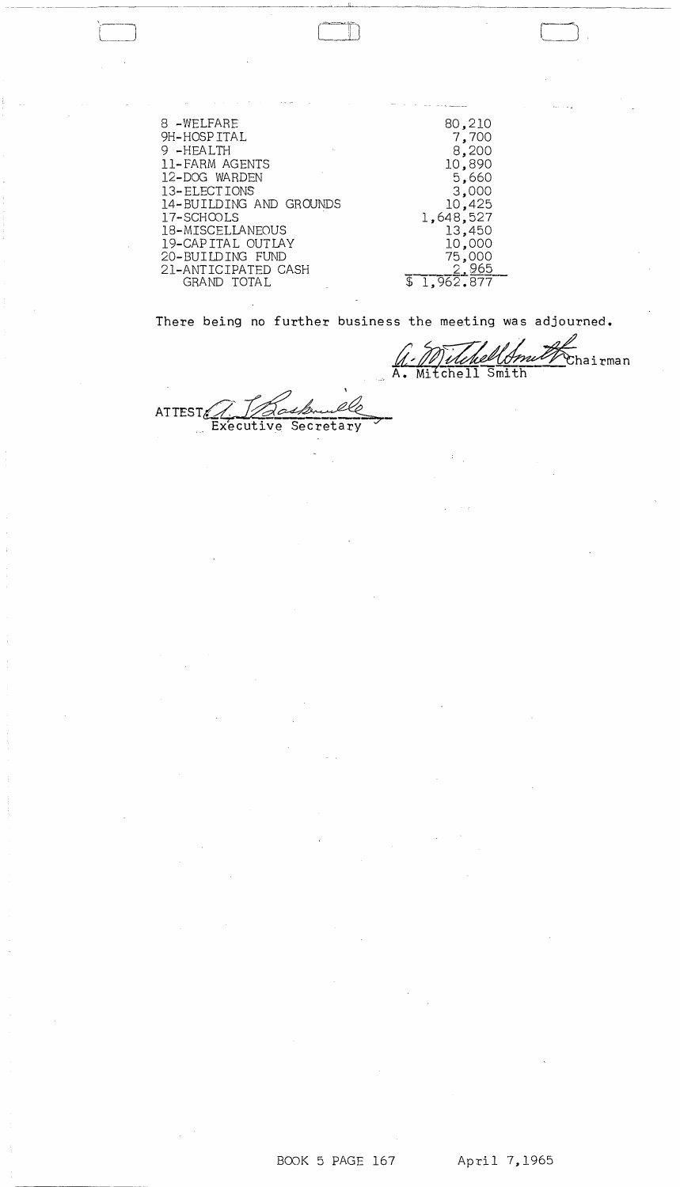| 8 -WELFARE<br>9H-HOSPITAL<br>9-HEALTH<br>$\sim 10^7$<br>11-FARM AGENTS<br>12-DOG WARDEN<br>13-ELECTIONS<br>14-BUILDING AND GROUNDS<br>17-SCHOOLS<br>18-MISCELLANEOUS<br>19-CAPITAL OUTLAY<br>20-BUILDING FUND<br>21-ANTICIPATED CASH | 80,210<br>7,700<br>8,200<br>10,890<br>5,660<br>3,000<br>10,425<br>1,648,527<br>13,450<br>10,000<br>75,000 |
|--------------------------------------------------------------------------------------------------------------------------------------------------------------------------------------------------------------------------------------|-----------------------------------------------------------------------------------------------------------|
| GRAND TOTAL                                                                                                                                                                                                                          | <u> 2,965</u><br>$\overline{1,962,877}$                                                                   |

 $\Box$ 

There being no further business the meeting was adjourned.

1. Milchell Smith Chairman

-,~----,,!'~---~~---------------

, \ ATTEST Dasburgh

 $\frac{1}{2} \frac{1}{2} \frac{d^2}{dx^2} \frac{d^2}{dx^2}$ 

 $\sigma_{\rm{eff}}$ 

 $\mathcal{L}^{\text{max}}_{\text{max}}$ 

 $\mathcal{F}_{\mathcal{G}}$  $\frac{1}{2}$ 

 $\sim 100$